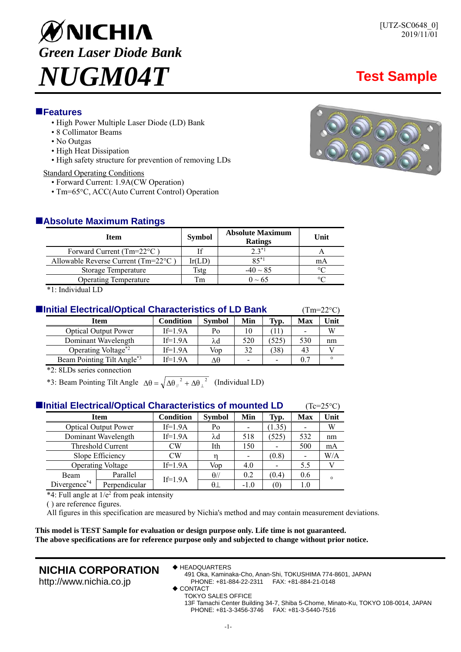# ØNICHIA *Green Laser Diode Bank NUGM04T* **Test Sample**

# **Features**

- High Power Multiple Laser Diode (LD) Bank
- 8 Collimator Beams
- No Outgas
- High Heat Dissipation
- High safety structure for prevention of removing LDs

## Standard Operating Conditions

- Forward Current: 1.9A(CW Operation)
- Tm=65°C, ACC(Auto Current Control) Operation

# **Absolute Maximum Ratings**

| <b>Item</b>                                    | <b>Symbol</b> | <b>Absolute Maximum</b><br><b>Ratings</b> | Unit           |  |
|------------------------------------------------|---------------|-------------------------------------------|----------------|--|
| Forward Current (Tm= $22^{\circ}$ C)           |               | $2,3*1$                                   |                |  |
| Allowable Reverse Current ( $Tm=22^{\circ}C$ ) | Ir(LD         | $85^{*1}$                                 | mA             |  |
| <b>Storage Temperature</b>                     | Tstœ          | $-40 \sim 85$                             | $\circ$ $\cap$ |  |
| <b>Operating Temperature</b>                   | Tm            | $0 \sim 65$                               |                |  |

\*1: Individual LD

| Initial Electrical/Optical Characteristics of LD Bank |                                        |                  |               |     |       | $(Tm=22^{\circ}C)$ |         |
|-------------------------------------------------------|----------------------------------------|------------------|---------------|-----|-------|--------------------|---------|
|                                                       | Item                                   | <b>Condition</b> | <b>Symbol</b> | Min | Typ.  | Max                | Unit    |
|                                                       | <b>Optical Output Power</b>            | $If=1.9A$        | Po            | 10  | 11    |                    | W       |
|                                                       | Dominant Wavelength                    | $If=1.9A$        | λd            | 520 | (525) | 530                | nm      |
|                                                       | Operating Voltage <sup>*2</sup>        | $If=1.9A$        | Vop           | 32  | (38)  | 43                 |         |
|                                                       | Beam Pointing Tilt Angle <sup>*3</sup> | $If=1.9A$        | Λθ            | -   |       | 0.7                | $\circ$ |

\*2: 8LDs series connection

\*3: Beam Pointing Tilt Angle  $\Delta\theta = \sqrt{\Delta\theta_{\parallel}^2 + \Delta\theta_{\perp}^2}$  (Individual LD)

| <b>Hermitial Electrical/Optical Characteristics of mounted LD</b> |                                              | $(Tc=25\degree C)$ |  |  |  |  |
|-------------------------------------------------------------------|----------------------------------------------|--------------------|--|--|--|--|
| Item                                                              | Condition   Symbol   Min   Typ.   Max   Unit |                    |  |  |  |  |
|                                                                   |                                              |                    |  |  |  |  |

|              | <b>Optical Output Power</b> | $If=1.9A$ | Po          |        | 1.35             |     | W       |
|--------------|-----------------------------|-----------|-------------|--------|------------------|-----|---------|
|              | Dominant Wavelength         | $If=1.9A$ | λd          | 518    | (525)            | 532 | nm      |
|              | Threshold Current           | CW        | Ith         | 150    |                  | 500 | mA      |
|              | Slope Efficiency            | CW        |             |        | (0.8)            |     | W/A     |
|              | <b>Operating Voltage</b>    | $If=1.9A$ | Vop         | 4.0    |                  | 5.5 |         |
| <b>Beam</b>  | Parallel                    |           | $\theta$ // | 0.2    | (0.4             | 0.6 | $\circ$ |
| Divergence*4 | Perpendicular               | $If=1.9A$ | $\theta$    | $-1.0$ | $\left(0\right)$ |     |         |

 $*4$ : Full angle at  $1/e^2$  from peak intensity

( ) are reference figures.

All figures in this specification are measured by Nichia's method and may contain measurement deviations.

**This model is TEST Sample for evaluation or design purpose only. Life time is not guaranteed. The above specifications are for reference purpose only and subjected to change without prior notice.** 

# **NICHIA CORPORATION**

http://www.nichia.co.jp

- ◆ HEADQUARTERS
	- 491 Oka, Kaminaka-Cho, Anan-Shi, TOKUSHIMA 774-8601, JAPAN PHONE: +81-884-22-2311 FAX: +81-884-21-0148
- ◆ CONTACT
	- TOKYO SALES OFFICE
	- 13F Tamachi Center Building 34-7, Shiba 5-Chome, Minato-Ku, TOKYO 108-0014, JAPAN PHONE: +81-3-3456-3746 FAX: +81-3-5440-7516

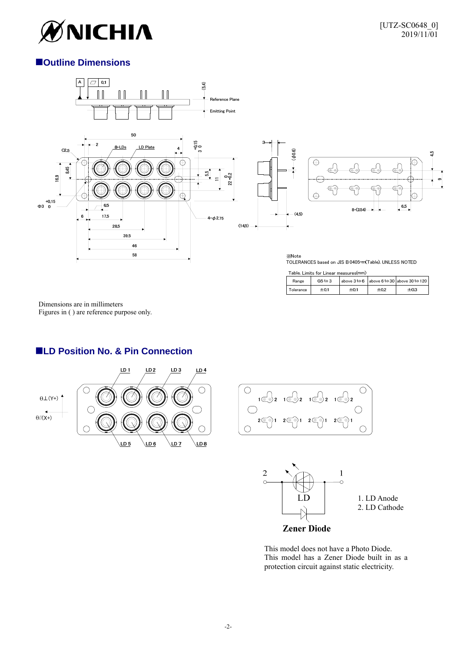

# **Outline Dimensions**



 Dimensions are in millimeters Figures in ( ) are reference purpose only.

# ■LD Position No. & Pin Connection





Tolerance

 $±0.1$ 

 $\overline{\pm 0.1}$ 

 $\overline{\pm 0.2}$ 

 $\overline{\pm 0.3}$ 



This model does not have a Photo Diode. This model has a Zener Diode built in as a protection circuit against static electricity.